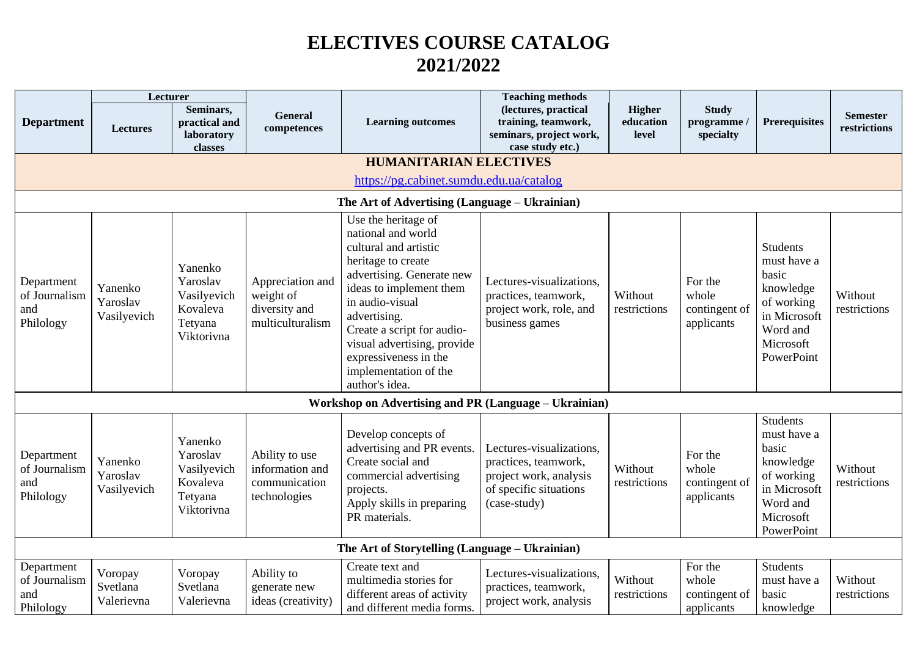## **ELECTIVES COURSE CATALOG 2021/2022**

|                                                 | Lecturer                           |                                                                         |                                                                    |                                                                                                                                                                                                                                                                                                                      | <b>Teaching methods</b>                                                                                              |                              |                                                 |                                                                                                                           |                                 |
|-------------------------------------------------|------------------------------------|-------------------------------------------------------------------------|--------------------------------------------------------------------|----------------------------------------------------------------------------------------------------------------------------------------------------------------------------------------------------------------------------------------------------------------------------------------------------------------------|----------------------------------------------------------------------------------------------------------------------|------------------------------|-------------------------------------------------|---------------------------------------------------------------------------------------------------------------------------|---------------------------------|
| <b>Department</b>                               | <b>Lectures</b>                    | Seminars,<br>practical and<br>laboratory<br>classes                     | <b>General</b><br>competences                                      | <b>Learning outcomes</b>                                                                                                                                                                                                                                                                                             | (lectures, practical<br>training, teamwork,<br>seminars, project work,<br>case study etc.)                           | Higher<br>education<br>level | <b>Study</b><br>programme /<br>specialty        | <b>Prerequisites</b>                                                                                                      | <b>Semester</b><br>restrictions |
|                                                 |                                    |                                                                         |                                                                    | <b>HUMANITARIAN ELECTIVES</b>                                                                                                                                                                                                                                                                                        |                                                                                                                      |                              |                                                 |                                                                                                                           |                                 |
|                                                 |                                    |                                                                         |                                                                    | https://pg.cabinet.sumdu.edu.ua/catalog                                                                                                                                                                                                                                                                              |                                                                                                                      |                              |                                                 |                                                                                                                           |                                 |
|                                                 |                                    |                                                                         |                                                                    | The Art of Advertising (Language – Ukrainian)                                                                                                                                                                                                                                                                        |                                                                                                                      |                              |                                                 |                                                                                                                           |                                 |
| Department<br>of Journalism<br>and<br>Philology | Yanenko<br>Yaroslav<br>Vasilyevich | Yanenko<br>Yaroslav<br>Vasilyevich<br>Kovaleva<br>Tetyana<br>Viktorivna | Appreciation and<br>weight of<br>diversity and<br>multiculturalism | Use the heritage of<br>national and world<br>cultural and artistic<br>heritage to create<br>advertising. Generate new<br>ideas to implement them<br>in audio-visual<br>advertising.<br>Create a script for audio-<br>visual advertising, provide<br>expressiveness in the<br>implementation of the<br>author's idea. | Lectures-visualizations,<br>practices, teamwork,<br>project work, role, and<br>business games                        | Without<br>restrictions      | For the<br>whole<br>contingent of<br>applicants | <b>Students</b><br>must have a<br>basic<br>knowledge<br>of working<br>in Microsoft<br>Word and<br>Microsoft<br>PowerPoint | Without<br>restrictions         |
|                                                 |                                    |                                                                         |                                                                    | <b>Workshop on Advertising and PR (Language - Ukrainian)</b>                                                                                                                                                                                                                                                         |                                                                                                                      |                              |                                                 |                                                                                                                           |                                 |
| Department<br>of Journalism<br>and<br>Philology | Yanenko<br>Yaroslav<br>Vasilyevich | Yanenko<br>Yaroslav<br>Vasilyevich<br>Kovaleva<br>Tetyana<br>Viktorivna | Ability to use<br>information and<br>communication<br>technologies | Develop concepts of<br>advertising and PR events.<br>Create social and<br>commercial advertising<br>projects.<br>Apply skills in preparing<br>PR materials.                                                                                                                                                          | Lectures-visualizations,<br>practices, teamwork,<br>project work, analysis<br>of specific situations<br>(case-study) | Without<br>restrictions      | For the<br>whole<br>contingent of<br>applicants | <b>Students</b><br>must have a<br>basic<br>knowledge<br>of working<br>in Microsoft<br>Word and<br>Microsoft<br>PowerPoint | Without<br>restrictions         |
|                                                 |                                    |                                                                         |                                                                    | The Art of Storytelling (Language - Ukrainian)                                                                                                                                                                                                                                                                       |                                                                                                                      |                              |                                                 |                                                                                                                           |                                 |
| Department<br>of Journalism<br>and<br>Philology | Voropay<br>Svetlana<br>Valerievna  | Voropay<br>Svetlana<br>Valerievna                                       | Ability to<br>generate new<br>ideas (creativity)                   | Create text and<br>multimedia stories for<br>different areas of activity<br>and different media forms.                                                                                                                                                                                                               | Lectures-visualizations,<br>practices, teamwork,<br>project work, analysis                                           | Without<br>restrictions      | For the<br>whole<br>contingent of<br>applicants | <b>Students</b><br>must have a<br>basic<br>knowledge                                                                      | Without<br>restrictions         |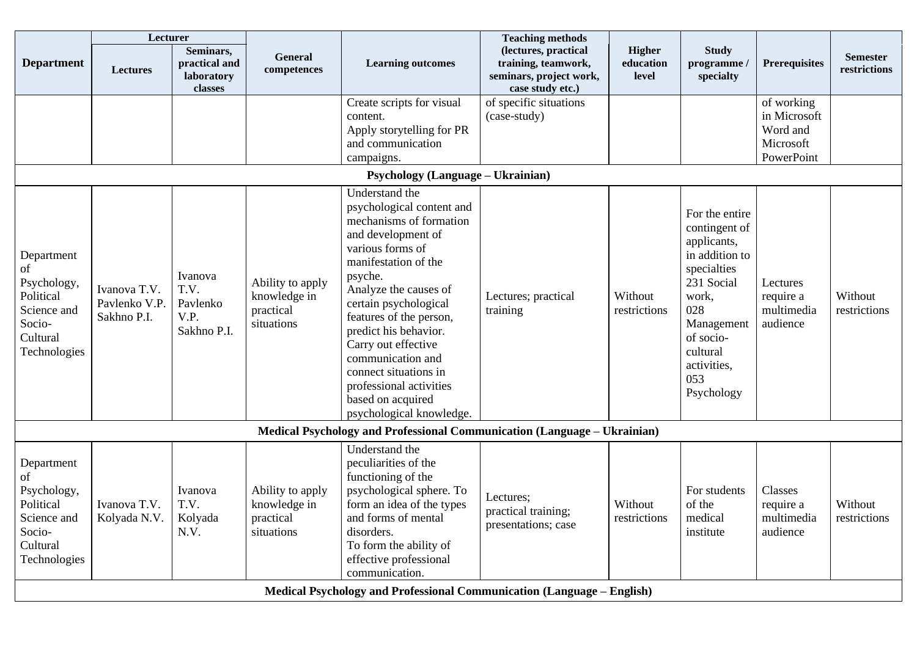|                                                                                                   | Lecturer                                     |                                                     |                                                             |                                                                                                                                                                                                                                                                                                                                                                                                            | <b>Teaching methods</b>                                                                    |                              |                                                                                                                                                                                          |                                                                   |                                 |
|---------------------------------------------------------------------------------------------------|----------------------------------------------|-----------------------------------------------------|-------------------------------------------------------------|------------------------------------------------------------------------------------------------------------------------------------------------------------------------------------------------------------------------------------------------------------------------------------------------------------------------------------------------------------------------------------------------------------|--------------------------------------------------------------------------------------------|------------------------------|------------------------------------------------------------------------------------------------------------------------------------------------------------------------------------------|-------------------------------------------------------------------|---------------------------------|
| <b>Department</b>                                                                                 | <b>Lectures</b>                              | Seminars,<br>practical and<br>laboratory<br>classes | <b>General</b><br>competences                               | <b>Learning outcomes</b>                                                                                                                                                                                                                                                                                                                                                                                   | (lectures, practical<br>training, teamwork,<br>seminars, project work,<br>case study etc.) | Higher<br>education<br>level | <b>Study</b><br>programme<br>specialty                                                                                                                                                   | <b>Prerequisites</b>                                              | <b>Semester</b><br>restrictions |
|                                                                                                   |                                              |                                                     |                                                             | Create scripts for visual<br>content.<br>Apply storytelling for PR<br>and communication<br>campaigns.<br><b>Psychology (Language - Ukrainian)</b>                                                                                                                                                                                                                                                          | of specific situations<br>(case-study)                                                     |                              |                                                                                                                                                                                          | of working<br>in Microsoft<br>Word and<br>Microsoft<br>PowerPoint |                                 |
|                                                                                                   |                                              |                                                     |                                                             |                                                                                                                                                                                                                                                                                                                                                                                                            |                                                                                            |                              |                                                                                                                                                                                          |                                                                   |                                 |
| Department<br>of<br>Psychology,<br>Political<br>Science and<br>Socio-<br>Cultural<br>Technologies | Ivanova T.V.<br>Pavlenko V.P.<br>Sakhno P.I. | Ivanova<br>T.V.<br>Pavlenko<br>V.P.<br>Sakhno P.I.  | Ability to apply<br>knowledge in<br>practical<br>situations | Understand the<br>psychological content and<br>mechanisms of formation<br>and development of<br>various forms of<br>manifestation of the<br>psyche.<br>Analyze the causes of<br>certain psychological<br>features of the person,<br>predict his behavior.<br>Carry out effective<br>communication and<br>connect situations in<br>professional activities<br>based on acquired<br>psychological knowledge. | Lectures; practical<br>training                                                            | Without<br>restrictions      | For the entire<br>contingent of<br>applicants,<br>in addition to<br>specialties<br>231 Social<br>work,<br>028<br>Management<br>of socio-<br>cultural<br>activities,<br>053<br>Psychology | Lectures<br>require a<br>multimedia<br>audience                   | Without<br>restrictions         |
|                                                                                                   |                                              |                                                     |                                                             | Medical Psychology and Professional Communication (Language - Ukrainian)                                                                                                                                                                                                                                                                                                                                   |                                                                                            |                              |                                                                                                                                                                                          |                                                                   |                                 |
| Department<br>of<br>Psychology,<br>Political<br>Science and<br>Socio-<br>Cultural<br>Technologies | Ivanova T.V.<br>Kolyada N.V.                 | Ivanova<br>T.V.<br>Kolyada<br>N.V.                  | Ability to apply<br>knowledge in<br>practical<br>situations | Understand the<br>peculiarities of the<br>functioning of the<br>psychological sphere. To<br>form an idea of the types<br>and forms of mental<br>disorders.<br>To form the ability of<br>effective professional<br>communication.                                                                                                                                                                           | Lectures;<br>practical training;<br>presentations; case                                    | Without<br>restrictions      | For students<br>of the<br>medical<br>institute                                                                                                                                           | Classes<br>require a<br>multimedia<br>audience                    | Without<br>restrictions         |
|                                                                                                   |                                              |                                                     |                                                             | Medical Psychology and Professional Communication (Language – English)                                                                                                                                                                                                                                                                                                                                     |                                                                                            |                              |                                                                                                                                                                                          |                                                                   |                                 |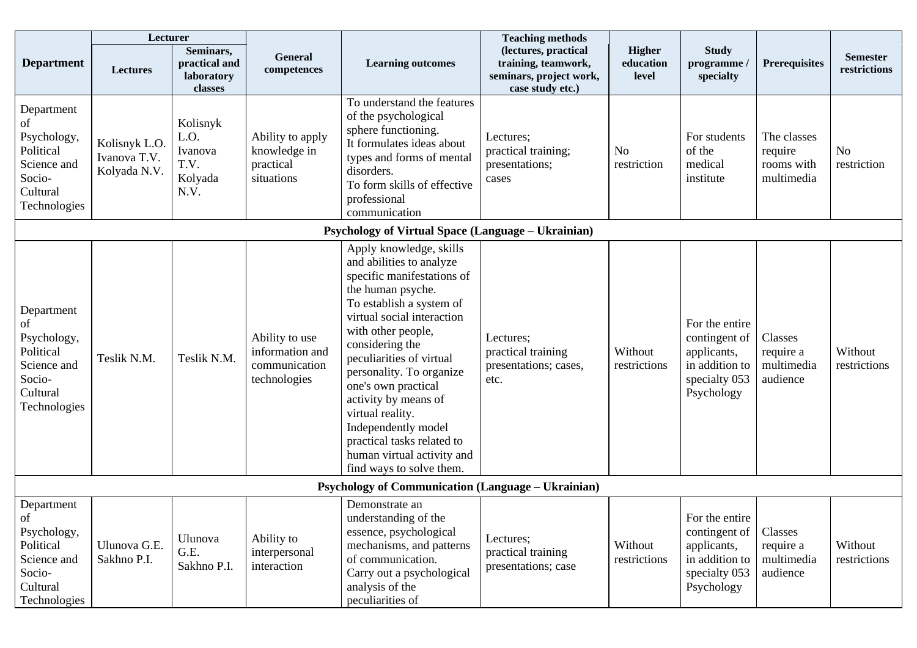|                                                                                                   | Lecturer                                      |                                                        |                                                                    |                                                                                                                                                                                                                                                                                                                                                                                                                                                     | <b>Teaching methods</b>                                                                    |                                     |                                                                                                 |                                                    |                                 |
|---------------------------------------------------------------------------------------------------|-----------------------------------------------|--------------------------------------------------------|--------------------------------------------------------------------|-----------------------------------------------------------------------------------------------------------------------------------------------------------------------------------------------------------------------------------------------------------------------------------------------------------------------------------------------------------------------------------------------------------------------------------------------------|--------------------------------------------------------------------------------------------|-------------------------------------|-------------------------------------------------------------------------------------------------|----------------------------------------------------|---------------------------------|
| <b>Department</b>                                                                                 | <b>Lectures</b>                               | Seminars,<br>practical and<br>laboratory<br>classes    | <b>General</b><br>competences                                      | <b>Learning outcomes</b>                                                                                                                                                                                                                                                                                                                                                                                                                            | (lectures, practical<br>training, teamwork,<br>seminars, project work,<br>case study etc.) | <b>Higher</b><br>education<br>level | <b>Study</b><br>programme /<br>specialty                                                        | <b>Prerequisites</b>                               | <b>Semester</b><br>restrictions |
| Department<br>of<br>Psychology,<br>Political<br>Science and<br>Socio-<br>Cultural<br>Technologies | Kolisnyk L.O.<br>Ivanova T.V.<br>Kolyada N.V. | Kolisnyk<br>L.O.<br>Ivanova<br>T.V.<br>Kolyada<br>N.V. | Ability to apply<br>knowledge in<br>practical<br>situations        | To understand the features<br>of the psychological<br>sphere functioning.<br>It formulates ideas about<br>types and forms of mental<br>disorders.<br>To form skills of effective<br>professional<br>communication                                                                                                                                                                                                                                   | Lectures;<br>practical training;<br>presentations;<br>cases                                | N <sub>o</sub><br>restriction       | For students<br>of the<br>medical<br>institute                                                  | The classes<br>require<br>rooms with<br>multimedia | <b>No</b><br>restriction        |
|                                                                                                   |                                               |                                                        |                                                                    | <b>Psychology of Virtual Space (Language - Ukrainian)</b>                                                                                                                                                                                                                                                                                                                                                                                           |                                                                                            |                                     |                                                                                                 |                                                    |                                 |
| Department<br>of<br>Psychology,<br>Political<br>Science and<br>Socio-<br>Cultural<br>Technologies | Teslik N.M.                                   | Teslik N.M.                                            | Ability to use<br>information and<br>communication<br>technologies | Apply knowledge, skills<br>and abilities to analyze<br>specific manifestations of<br>the human psyche.<br>To establish a system of<br>virtual social interaction<br>with other people,<br>considering the<br>peculiarities of virtual<br>personality. To organize<br>one's own practical<br>activity by means of<br>virtual reality.<br>Independently model<br>practical tasks related to<br>human virtual activity and<br>find ways to solve them. | Lectures;<br>practical training<br>presentations; cases,<br>etc.                           | Without<br>restrictions             | For the entire<br>contingent of<br>applicants,<br>in addition to<br>specialty 053<br>Psychology | Classes<br>require a<br>multimedia<br>audience     | Without<br>restrictions         |
|                                                                                                   |                                               |                                                        |                                                                    | <b>Psychology of Communication (Language – Ukrainian)</b>                                                                                                                                                                                                                                                                                                                                                                                           |                                                                                            |                                     |                                                                                                 |                                                    |                                 |
| Department<br>of<br>Psychology,<br>Political<br>Science and<br>Socio-<br>Cultural<br>Technologies | Ulunova G.E.<br>Sakhno P.I.                   | Ulunova<br>G.E.<br>Sakhno P.I.                         | Ability to<br>interpersonal<br>interaction                         | Demonstrate an<br>understanding of the<br>essence, psychological<br>mechanisms, and patterns<br>of communication.<br>Carry out a psychological<br>analysis of the<br>peculiarities of                                                                                                                                                                                                                                                               | Lectures;<br>practical training<br>presentations; case                                     | Without<br>restrictions             | For the entire<br>contingent of<br>applicants,<br>in addition to<br>specialty 053<br>Psychology | Classes<br>require a<br>multimedia<br>audience     | Without<br>restrictions         |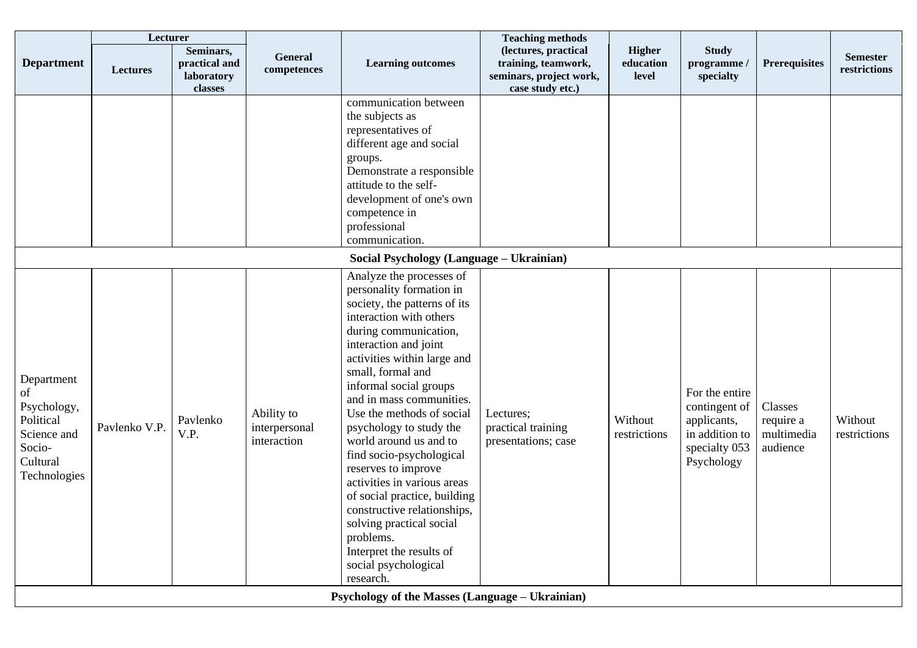|                                                                                                   | Lecturer      |                                                     |                                            |                                                                                                                                                                                                                                                                                                                                                                                                                                                                                                                                                                                                                          | <b>Teaching methods</b>                                                                    |                                     |                                                                                                 |                                                |                                 |
|---------------------------------------------------------------------------------------------------|---------------|-----------------------------------------------------|--------------------------------------------|--------------------------------------------------------------------------------------------------------------------------------------------------------------------------------------------------------------------------------------------------------------------------------------------------------------------------------------------------------------------------------------------------------------------------------------------------------------------------------------------------------------------------------------------------------------------------------------------------------------------------|--------------------------------------------------------------------------------------------|-------------------------------------|-------------------------------------------------------------------------------------------------|------------------------------------------------|---------------------------------|
| <b>Department</b>                                                                                 | Lectures      | Seminars,<br>practical and<br>laboratory<br>classes | <b>General</b><br>competences              | <b>Learning outcomes</b>                                                                                                                                                                                                                                                                                                                                                                                                                                                                                                                                                                                                 | (lectures, practical<br>training, teamwork,<br>seminars, project work,<br>case study etc.) | <b>Higher</b><br>education<br>level | <b>Study</b><br>programme/<br>specialty                                                         | <b>Prerequisites</b>                           | <b>Semester</b><br>restrictions |
|                                                                                                   |               |                                                     |                                            | communication between<br>the subjects as<br>representatives of<br>different age and social<br>groups.<br>Demonstrate a responsible<br>attitude to the self-<br>development of one's own<br>competence in<br>professional<br>communication.                                                                                                                                                                                                                                                                                                                                                                               |                                                                                            |                                     |                                                                                                 |                                                |                                 |
|                                                                                                   |               |                                                     |                                            | Social Psychology (Language - Ukrainian)                                                                                                                                                                                                                                                                                                                                                                                                                                                                                                                                                                                 |                                                                                            |                                     |                                                                                                 |                                                |                                 |
| Department<br>of<br>Psychology,<br>Political<br>Science and<br>Socio-<br>Cultural<br>Technologies | Pavlenko V.P. | Pavlenko<br>V.P.                                    | Ability to<br>interpersonal<br>interaction | Analyze the processes of<br>personality formation in<br>society, the patterns of its<br>interaction with others<br>during communication,<br>interaction and joint<br>activities within large and<br>small, formal and<br>informal social groups<br>and in mass communities.<br>Use the methods of social<br>psychology to study the<br>world around us and to<br>find socio-psychological<br>reserves to improve<br>activities in various areas<br>of social practice, building<br>constructive relationships,<br>solving practical social<br>problems.<br>Interpret the results of<br>social psychological<br>research. | Lectures;<br>practical training<br>presentations; case                                     | Without<br>restrictions             | For the entire<br>contingent of<br>applicants,<br>in addition to<br>specialty 053<br>Psychology | Classes<br>require a<br>multimedia<br>audience | Without<br>restrictions         |
|                                                                                                   |               |                                                     |                                            | <b>Psychology of the Masses (Language - Ukrainian)</b>                                                                                                                                                                                                                                                                                                                                                                                                                                                                                                                                                                   |                                                                                            |                                     |                                                                                                 |                                                |                                 |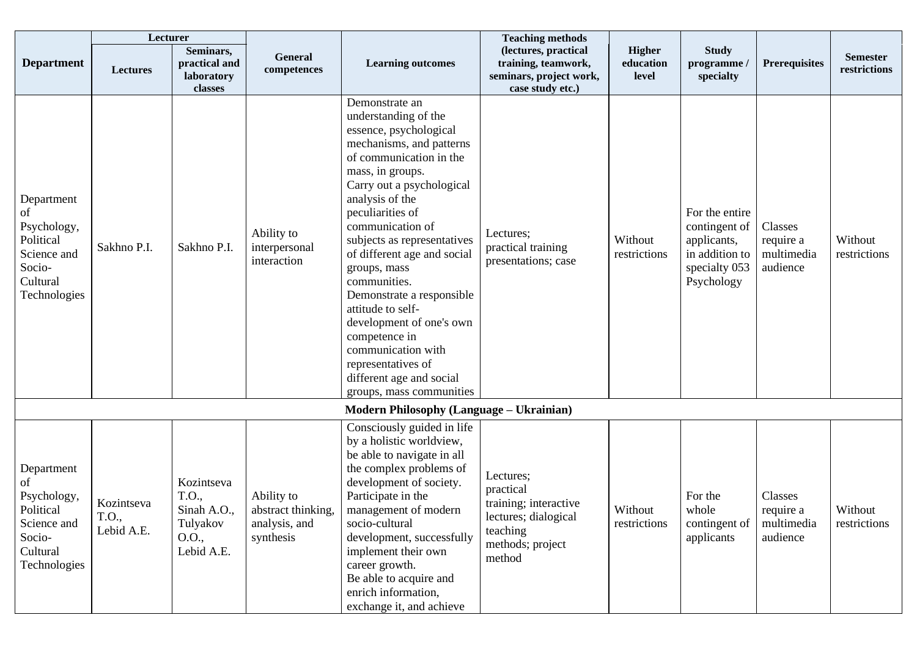|                                                                                                   | Lecturer                          |                                                                       |                                                                |                                                                                                                                                                                                                                                                                                                                                                                                                                                                                                                                      | <b>Teaching methods</b>                                                                                           |                                     |                                                                                                 |                                                |                                 |
|---------------------------------------------------------------------------------------------------|-----------------------------------|-----------------------------------------------------------------------|----------------------------------------------------------------|--------------------------------------------------------------------------------------------------------------------------------------------------------------------------------------------------------------------------------------------------------------------------------------------------------------------------------------------------------------------------------------------------------------------------------------------------------------------------------------------------------------------------------------|-------------------------------------------------------------------------------------------------------------------|-------------------------------------|-------------------------------------------------------------------------------------------------|------------------------------------------------|---------------------------------|
| <b>Department</b>                                                                                 | <b>Lectures</b>                   | Seminars,<br>practical and<br>laboratory<br>classes                   | General<br>competences                                         | <b>Learning outcomes</b>                                                                                                                                                                                                                                                                                                                                                                                                                                                                                                             | (lectures, practical<br>training, teamwork,<br>seminars, project work,<br>case study etc.)                        | <b>Higher</b><br>education<br>level | <b>Study</b><br>programme /<br>specialty                                                        | <b>Prerequisites</b>                           | <b>Semester</b><br>restrictions |
| Department<br>of<br>Psychology,<br>Political<br>Science and<br>Socio-<br>Cultural<br>Technologies | Sakhno P.I.                       | Sakhno P.I.                                                           | Ability to<br>interpersonal<br>interaction                     | Demonstrate an<br>understanding of the<br>essence, psychological<br>mechanisms, and patterns<br>of communication in the<br>mass, in groups.<br>Carry out a psychological<br>analysis of the<br>peculiarities of<br>communication of<br>subjects as representatives<br>of different age and social<br>groups, mass<br>communities.<br>Demonstrate a responsible<br>attitude to self-<br>development of one's own<br>competence in<br>communication with<br>representatives of<br>different age and social<br>groups, mass communities | Lectures;<br>practical training<br>presentations; case                                                            | Without<br>restrictions             | For the entire<br>contingent of<br>applicants,<br>in addition to<br>specialty 053<br>Psychology | Classes<br>require a<br>multimedia<br>audience | Without<br>restrictions         |
|                                                                                                   |                                   |                                                                       |                                                                | <b>Modern Philosophy (Language – Ukrainian)</b>                                                                                                                                                                                                                                                                                                                                                                                                                                                                                      |                                                                                                                   |                                     |                                                                                                 |                                                |                                 |
| Department<br>of<br>Psychology,<br>Political<br>Science and<br>Socio-<br>Cultural<br>Technologies | Kozintseva<br>T.O.,<br>Lebid A.E. | Kozintseva<br>T.O.,<br>Sinah A.O.,<br>Tulyakov<br>O.O.,<br>Lebid A.E. | Ability to<br>abstract thinking,<br>analysis, and<br>synthesis | Consciously guided in life<br>by a holistic worldview,<br>be able to navigate in all<br>the complex problems of<br>development of society.<br>Participate in the<br>management of modern<br>socio-cultural<br>development, successfully<br>implement their own<br>career growth.<br>Be able to acquire and<br>enrich information,<br>exchange it, and achieve                                                                                                                                                                        | Lectures;<br>practical<br>training; interactive<br>lectures; dialogical<br>teaching<br>methods; project<br>method | Without<br>restrictions             | For the<br>whole<br>contingent of<br>applicants                                                 | Classes<br>require a<br>multimedia<br>audience | Without<br>restrictions         |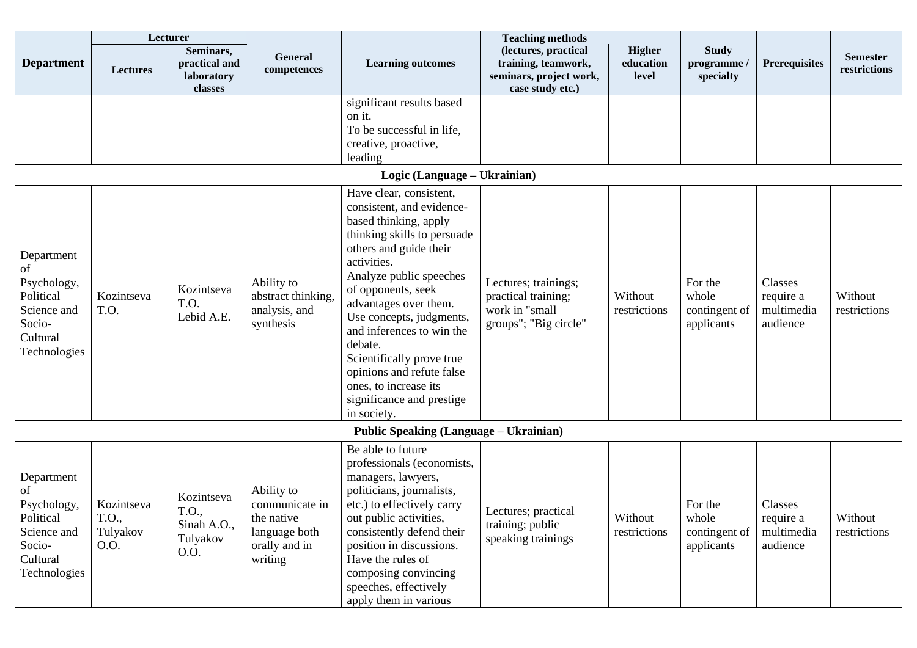|                                                                                                   | Lecturer                                |                                                               |                                                                                         |                                                                                                                                                                                                                                                                                                                                                                                                                                    | <b>Teaching methods</b>                                                                    |                                     |                                                 |                                                |                                 |
|---------------------------------------------------------------------------------------------------|-----------------------------------------|---------------------------------------------------------------|-----------------------------------------------------------------------------------------|------------------------------------------------------------------------------------------------------------------------------------------------------------------------------------------------------------------------------------------------------------------------------------------------------------------------------------------------------------------------------------------------------------------------------------|--------------------------------------------------------------------------------------------|-------------------------------------|-------------------------------------------------|------------------------------------------------|---------------------------------|
| <b>Department</b>                                                                                 | <b>Lectures</b>                         | Seminars,<br>practical and<br>laboratory<br>classes           | <b>General</b><br>competences                                                           | <b>Learning outcomes</b>                                                                                                                                                                                                                                                                                                                                                                                                           | (lectures, practical<br>training, teamwork,<br>seminars, project work,<br>case study etc.) | <b>Higher</b><br>education<br>level | <b>Study</b><br>programme /<br>specialty        | <b>Prerequisites</b>                           | <b>Semester</b><br>restrictions |
|                                                                                                   |                                         |                                                               |                                                                                         | significant results based<br>on it.<br>To be successful in life,<br>creative, proactive,<br>leading                                                                                                                                                                                                                                                                                                                                |                                                                                            |                                     |                                                 |                                                |                                 |
|                                                                                                   |                                         |                                                               |                                                                                         | Logic (Language - Ukrainian)                                                                                                                                                                                                                                                                                                                                                                                                       |                                                                                            |                                     |                                                 |                                                |                                 |
| Department<br>of<br>Psychology,<br>Political<br>Science and<br>Socio-<br>Cultural<br>Technologies | Kozintseva<br>T.O.                      | Kozintseva<br>T.O.<br>Lebid A.E.                              | Ability to<br>abstract thinking,<br>analysis, and<br>synthesis                          | Have clear, consistent,<br>consistent, and evidence-<br>based thinking, apply<br>thinking skills to persuade<br>others and guide their<br>activities.<br>Analyze public speeches<br>of opponents, seek<br>advantages over them.<br>Use concepts, judgments,<br>and inferences to win the<br>debate.<br>Scientifically prove true<br>opinions and refute false<br>ones, to increase its<br>significance and prestige<br>in society. | Lectures; trainings;<br>practical training;<br>work in "small<br>groups"; "Big circle"     | Without<br>restrictions             | For the<br>whole<br>contingent of<br>applicants | Classes<br>require a<br>multimedia<br>audience | Without<br>restrictions         |
|                                                                                                   |                                         |                                                               |                                                                                         | <b>Public Speaking (Language – Ukrainian)</b>                                                                                                                                                                                                                                                                                                                                                                                      |                                                                                            |                                     |                                                 |                                                |                                 |
| Department<br>of<br>Psychology,<br>Political<br>Science and<br>Socio-<br>Cultural<br>Technologies | Kozintseva<br>T.O.,<br>Tulyakov<br>O.O. | Kozintseva<br>T.O.,<br>Sinah A.O.,<br>Tulyakov<br><b>O.O.</b> | Ability to<br>communicate in<br>the native<br>language both<br>orally and in<br>writing | Be able to future<br>professionals (economists,<br>managers, lawyers,<br>politicians, journalists,<br>etc.) to effectively carry<br>out public activities,<br>consistently defend their<br>position in discussions.<br>Have the rules of<br>composing convincing<br>speeches, effectively<br>apply them in various                                                                                                                 | Lectures; practical<br>training; public<br>speaking trainings                              | Without<br>restrictions             | For the<br>whole<br>contingent of<br>applicants | Classes<br>require a<br>multimedia<br>audience | Without<br>restrictions         |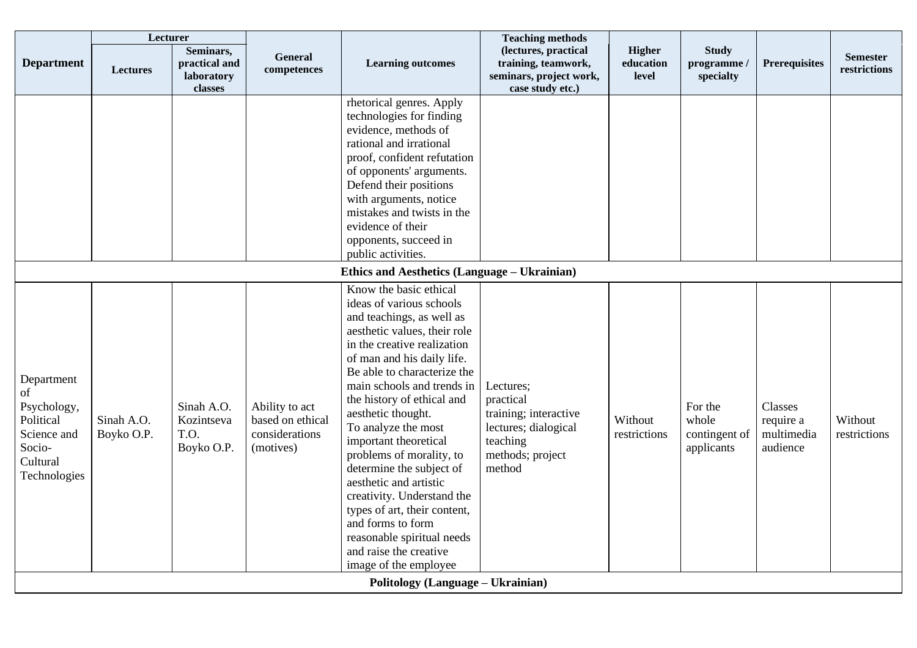| <b>Department</b>                                                                                 | Lecturer<br>Lectures     | Seminars,<br>practical and<br>laboratory<br>classes | General<br>competences                                            | <b>Learning outcomes</b>                                                                                                                                                                                                                                                                                                                                                                                                                                                                                                                                                                            | <b>Teaching methods</b><br>(lectures, practical<br>training, teamwork,<br>seminars, project work,<br>case study etc.) | <b>Higher</b><br>education<br>level | <b>Study</b><br>programme /<br>specialty        | <b>Prerequisites</b>                           | <b>Semester</b><br>restrictions |
|---------------------------------------------------------------------------------------------------|--------------------------|-----------------------------------------------------|-------------------------------------------------------------------|-----------------------------------------------------------------------------------------------------------------------------------------------------------------------------------------------------------------------------------------------------------------------------------------------------------------------------------------------------------------------------------------------------------------------------------------------------------------------------------------------------------------------------------------------------------------------------------------------------|-----------------------------------------------------------------------------------------------------------------------|-------------------------------------|-------------------------------------------------|------------------------------------------------|---------------------------------|
|                                                                                                   |                          |                                                     |                                                                   | rhetorical genres. Apply<br>technologies for finding<br>evidence, methods of<br>rational and irrational<br>proof, confident refutation<br>of opponents' arguments.<br>Defend their positions<br>with arguments, notice<br>mistakes and twists in the<br>evidence of their<br>opponents, succeed in<br>public activities.                                                                                                                                                                                                                                                                            |                                                                                                                       |                                     |                                                 |                                                |                                 |
|                                                                                                   |                          |                                                     |                                                                   | Ethics and Aesthetics (Language – Ukrainian)                                                                                                                                                                                                                                                                                                                                                                                                                                                                                                                                                        |                                                                                                                       |                                     |                                                 |                                                |                                 |
| Department<br>of<br>Psychology,<br>Political<br>Science and<br>Socio-<br>Cultural<br>Technologies | Sinah A.O.<br>Boyko O.P. | Sinah A.O.<br>Kozintseva<br>T.O.<br>Boyko O.P.      | Ability to act<br>based on ethical<br>considerations<br>(motives) | Know the basic ethical<br>ideas of various schools<br>and teachings, as well as<br>aesthetic values, their role<br>in the creative realization<br>of man and his daily life.<br>Be able to characterize the<br>main schools and trends in<br>the history of ethical and<br>aesthetic thought.<br>To analyze the most<br>important theoretical<br>problems of morality, to<br>determine the subject of<br>aesthetic and artistic<br>creativity. Understand the<br>types of art, their content,<br>and forms to form<br>reasonable spiritual needs<br>and raise the creative<br>image of the employee | Lectures;<br>practical<br>training; interactive<br>lectures; dialogical<br>teaching<br>methods; project<br>method     | Without<br>restrictions             | For the<br>whole<br>contingent of<br>applicants | Classes<br>require a<br>multimedia<br>audience | Without<br>restrictions         |
|                                                                                                   |                          |                                                     |                                                                   | Politology (Language - Ukrainian)                                                                                                                                                                                                                                                                                                                                                                                                                                                                                                                                                                   |                                                                                                                       |                                     |                                                 |                                                |                                 |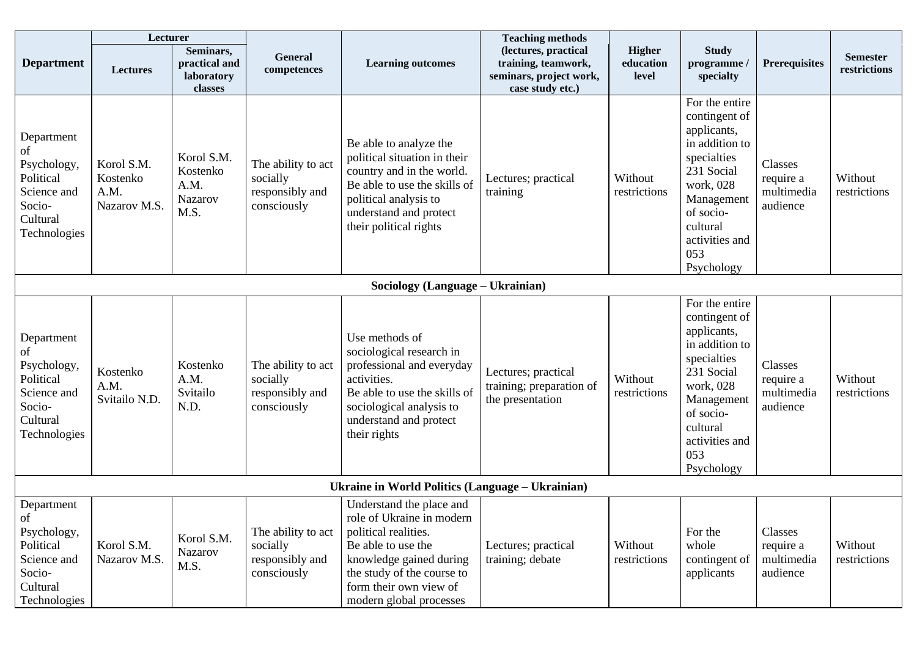|                                                                                                   | Lecturer                                       |                                                          |                                                                  |                                                                                                                                                                                                                   | <b>Teaching methods</b>                                                                    |                                     |                                                                                                                                                                                          |                                                |                                 |
|---------------------------------------------------------------------------------------------------|------------------------------------------------|----------------------------------------------------------|------------------------------------------------------------------|-------------------------------------------------------------------------------------------------------------------------------------------------------------------------------------------------------------------|--------------------------------------------------------------------------------------------|-------------------------------------|------------------------------------------------------------------------------------------------------------------------------------------------------------------------------------------|------------------------------------------------|---------------------------------|
| <b>Department</b>                                                                                 | Lectures                                       | Seminars,<br>practical and<br>laboratory<br>classes      | General<br>competences                                           | <b>Learning outcomes</b>                                                                                                                                                                                          | (lectures, practical<br>training, teamwork,<br>seminars, project work,<br>case study etc.) | <b>Higher</b><br>education<br>level | <b>Study</b><br>programme /<br>specialty                                                                                                                                                 | <b>Prerequisites</b>                           | <b>Semester</b><br>restrictions |
| Department<br>of<br>Psychology,<br>Political<br>Science and<br>Socio-<br>Cultural<br>Technologies | Korol S.M.<br>Kostenko<br>A.M.<br>Nazarov M.S. | Korol S.M.<br>Kostenko<br>A.M.<br><b>Nazarov</b><br>M.S. | The ability to act<br>socially<br>responsibly and<br>consciously | Be able to analyze the<br>political situation in their<br>country and in the world.<br>Be able to use the skills of<br>political analysis to<br>understand and protect<br>their political rights                  | Lectures; practical<br>training                                                            | Without<br>restrictions             | For the entire<br>contingent of<br>applicants,<br>in addition to<br>specialties<br>231 Social<br>work, 028<br>Management<br>of socio-<br>cultural<br>activities and<br>053<br>Psychology | Classes<br>require a<br>multimedia<br>audience | Without<br>restrictions         |
|                                                                                                   |                                                |                                                          |                                                                  | Sociology (Language - Ukrainian)                                                                                                                                                                                  |                                                                                            |                                     |                                                                                                                                                                                          |                                                |                                 |
| Department<br>оf<br>Psychology,<br>Political<br>Science and<br>Socio-<br>Cultural<br>Technologies | Kostenko<br>A.M.<br>Svitailo N.D.              | Kostenko<br>A.M.<br>Svitailo<br>N.D.                     | The ability to act<br>socially<br>responsibly and<br>consciously | Use methods of<br>sociological research in<br>professional and everyday<br>activities.<br>Be able to use the skills of<br>sociological analysis to<br>understand and protect<br>their rights                      | Lectures; practical<br>training; preparation of<br>the presentation                        | Without<br>restrictions             | For the entire<br>contingent of<br>applicants,<br>in addition to<br>specialties<br>231 Social<br>work, 028<br>Management<br>of socio-<br>cultural<br>activities and<br>053<br>Psychology | Classes<br>require a<br>multimedia<br>audience | Without<br>restrictions         |
|                                                                                                   |                                                |                                                          |                                                                  | Ukraine in World Politics (Language – Ukrainian)                                                                                                                                                                  |                                                                                            |                                     |                                                                                                                                                                                          |                                                |                                 |
| Department<br>of<br>Psychology,<br>Political<br>Science and<br>Socio-<br>Cultural<br>Technologies | Korol S.M.<br>Nazarov M.S.                     | Korol S.M.<br>Nazarov<br>M.S.                            | The ability to act<br>socially<br>responsibly and<br>consciously | Understand the place and<br>role of Ukraine in modern<br>political realities.<br>Be able to use the<br>knowledge gained during<br>the study of the course to<br>form their own view of<br>modern global processes | Lectures; practical<br>training; debate                                                    | Without<br>restrictions             | For the<br>whole<br>contingent of<br>applicants                                                                                                                                          | Classes<br>require a<br>multimedia<br>audience | Without<br>restrictions         |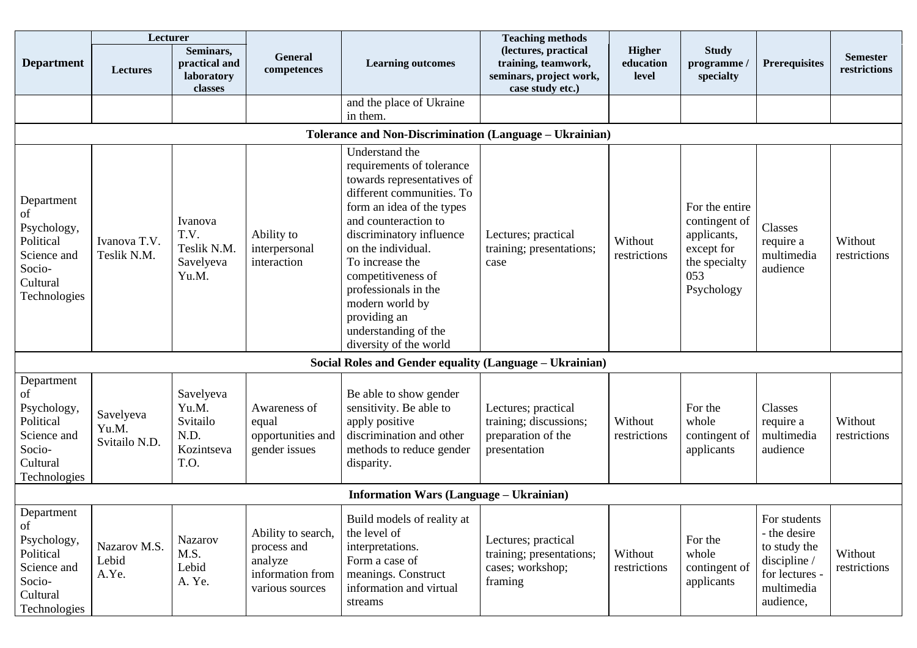|                                                                                                   | Lecturer                            |                                                              |                                                                                     |                                                                                                                                                                                                                                                                                                                                                                     | <b>Teaching methods</b>                                                                    |                                     |                                                                                                    |                                                                                                           |                                 |
|---------------------------------------------------------------------------------------------------|-------------------------------------|--------------------------------------------------------------|-------------------------------------------------------------------------------------|---------------------------------------------------------------------------------------------------------------------------------------------------------------------------------------------------------------------------------------------------------------------------------------------------------------------------------------------------------------------|--------------------------------------------------------------------------------------------|-------------------------------------|----------------------------------------------------------------------------------------------------|-----------------------------------------------------------------------------------------------------------|---------------------------------|
| <b>Department</b>                                                                                 | Lectures                            | Seminars,<br>practical and<br>laboratory<br>classes          | General<br>competences                                                              | <b>Learning outcomes</b>                                                                                                                                                                                                                                                                                                                                            | (lectures, practical<br>training, teamwork,<br>seminars, project work,<br>case study etc.) | <b>Higher</b><br>education<br>level | <b>Study</b><br>programme /<br>specialty                                                           | <b>Prerequisites</b>                                                                                      | <b>Semester</b><br>restrictions |
|                                                                                                   |                                     |                                                              |                                                                                     | and the place of Ukraine<br>in them.                                                                                                                                                                                                                                                                                                                                |                                                                                            |                                     |                                                                                                    |                                                                                                           |                                 |
|                                                                                                   |                                     |                                                              |                                                                                     | <b>Tolerance and Non-Discrimination (Language – Ukrainian)</b>                                                                                                                                                                                                                                                                                                      |                                                                                            |                                     |                                                                                                    |                                                                                                           |                                 |
| Department<br>of<br>Psychology,<br>Political<br>Science and<br>Socio-<br>Cultural<br>Technologies | Ivanova T.V.<br>Teslik N.M.         | Ivanova<br>T.V.<br>Teslik N.M.<br>Savelyeva<br>Yu.M.         | Ability to<br>interpersonal<br>interaction                                          | Understand the<br>requirements of tolerance<br>towards representatives of<br>different communities. To<br>form an idea of the types<br>and counteraction to<br>discriminatory influence<br>on the individual.<br>To increase the<br>competitiveness of<br>professionals in the<br>modern world by<br>providing an<br>understanding of the<br>diversity of the world | Lectures; practical<br>training; presentations;<br>case                                    | Without<br>restrictions             | For the entire<br>contingent of<br>applicants,<br>except for<br>the specialty<br>053<br>Psychology | Classes<br>require a<br>multimedia<br>audience                                                            | Without<br>restrictions         |
|                                                                                                   |                                     |                                                              |                                                                                     | Social Roles and Gender equality (Language - Ukrainian)                                                                                                                                                                                                                                                                                                             |                                                                                            |                                     |                                                                                                    |                                                                                                           |                                 |
| Department<br>of<br>Psychology,<br>Political<br>Science and<br>Socio-<br>Cultural<br>Technologies | Savelyeva<br>Yu.M.<br>Svitailo N.D. | Savelyeva<br>Yu.M.<br>Svitailo<br>N.D.<br>Kozintseva<br>T.O. | Awareness of<br>equal<br>opportunities and<br>gender issues                         | Be able to show gender<br>sensitivity. Be able to<br>apply positive<br>discrimination and other<br>methods to reduce gender<br>disparity.                                                                                                                                                                                                                           | Lectures; practical<br>training; discussions;<br>preparation of the<br>presentation        | Without<br>restrictions             | For the<br>whole<br>contingent of<br>applicants                                                    | Classes<br>require a<br>multimedia<br>audience                                                            | Without<br>restrictions         |
|                                                                                                   |                                     |                                                              |                                                                                     | <b>Information Wars (Language - Ukrainian)</b>                                                                                                                                                                                                                                                                                                                      |                                                                                            |                                     |                                                                                                    |                                                                                                           |                                 |
| Department<br>of<br>Psychology,<br>Political<br>Science and<br>Socio-<br>Cultural<br>Technologies | Nazarov M.S.<br>Lebid<br>A.Ye.      | Nazarov<br>M.S.<br>Lebid<br>A. Ye.                           | Ability to search,<br>process and<br>analyze<br>information from<br>various sources | Build models of reality at<br>the level of<br>interpretations.<br>Form a case of<br>meanings. Construct<br>information and virtual<br>streams                                                                                                                                                                                                                       | Lectures; practical<br>training; presentations;<br>cases; workshop;<br>framing             | Without<br>restrictions             | For the<br>whole<br>contingent of<br>applicants                                                    | For students<br>- the desire<br>to study the<br>discipline /<br>for lectures -<br>multimedia<br>audience, | Without<br>restrictions         |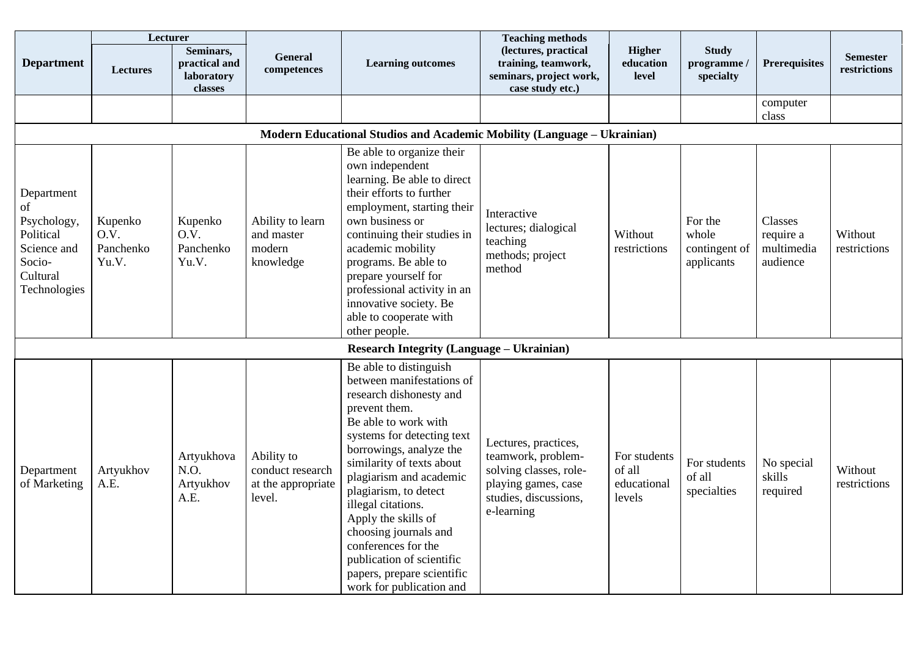|                                                                                                   | Lecturer                              |                                                     |                                                                |                                                                                                                                                                                                                                                                                                                                                                                                                                                       | <b>Teaching methods</b>                                                                                                            |                                                 |                                                 |                                                |                                 |
|---------------------------------------------------------------------------------------------------|---------------------------------------|-----------------------------------------------------|----------------------------------------------------------------|-------------------------------------------------------------------------------------------------------------------------------------------------------------------------------------------------------------------------------------------------------------------------------------------------------------------------------------------------------------------------------------------------------------------------------------------------------|------------------------------------------------------------------------------------------------------------------------------------|-------------------------------------------------|-------------------------------------------------|------------------------------------------------|---------------------------------|
| <b>Department</b>                                                                                 | <b>Lectures</b>                       | Seminars,<br>practical and<br>laboratory<br>classes | General<br>competences                                         | <b>Learning outcomes</b>                                                                                                                                                                                                                                                                                                                                                                                                                              | (lectures, practical<br>training, teamwork,<br>seminars, project work,<br>case study etc.)                                         | <b>Higher</b><br>education<br>level             | <b>Study</b><br>programme /<br>specialty        | <b>Prerequisites</b>                           | <b>Semester</b><br>restrictions |
|                                                                                                   |                                       |                                                     |                                                                |                                                                                                                                                                                                                                                                                                                                                                                                                                                       |                                                                                                                                    |                                                 |                                                 | computer<br>class                              |                                 |
|                                                                                                   |                                       |                                                     |                                                                | Modern Educational Studios and Academic Mobility (Language - Ukrainian)                                                                                                                                                                                                                                                                                                                                                                               |                                                                                                                                    |                                                 |                                                 |                                                |                                 |
| Department<br>of<br>Psychology,<br>Political<br>Science and<br>Socio-<br>Cultural<br>Technologies | Kupenko<br>O.V.<br>Panchenko<br>Yu.V. | Kupenko<br>O.V.<br>Panchenko<br>Yu.V.               | Ability to learn<br>and master<br>modern<br>knowledge          | Be able to organize their<br>own independent<br>learning. Be able to direct<br>their efforts to further<br>employment, starting their<br>own business or<br>continuing their studies in<br>academic mobility<br>programs. Be able to<br>prepare yourself for<br>professional activity in an<br>innovative society. Be<br>able to cooperate with<br>other people.                                                                                      | Interactive<br>lectures; dialogical<br>teaching<br>methods; project<br>method                                                      | Without<br>restrictions                         | For the<br>whole<br>contingent of<br>applicants | Classes<br>require a<br>multimedia<br>audience | Without<br>restrictions         |
|                                                                                                   |                                       |                                                     |                                                                | <b>Research Integrity (Language – Ukrainian)</b>                                                                                                                                                                                                                                                                                                                                                                                                      |                                                                                                                                    |                                                 |                                                 |                                                |                                 |
| Department<br>of Marketing                                                                        | Artyukhov<br>A.E.                     | Artyukhova<br>N.O.<br>Artyukhov<br>A.E.             | Ability to<br>conduct research<br>at the appropriate<br>level. | Be able to distinguish<br>between manifestations of<br>research dishonesty and<br>prevent them.<br>Be able to work with<br>systems for detecting text<br>borrowings, analyze the<br>similarity of texts about<br>plagiarism and academic<br>plagiarism, to detect<br>illegal citations.<br>Apply the skills of<br>choosing journals and<br>conferences for the<br>publication of scientific<br>papers, prepare scientific<br>work for publication and | Lectures, practices,<br>teamwork, problem-<br>solving classes, role-<br>playing games, case<br>studies, discussions,<br>e-learning | For students<br>of all<br>educational<br>levels | For students<br>of all<br>specialties           | No special<br>skills<br>required               | Without<br>restrictions         |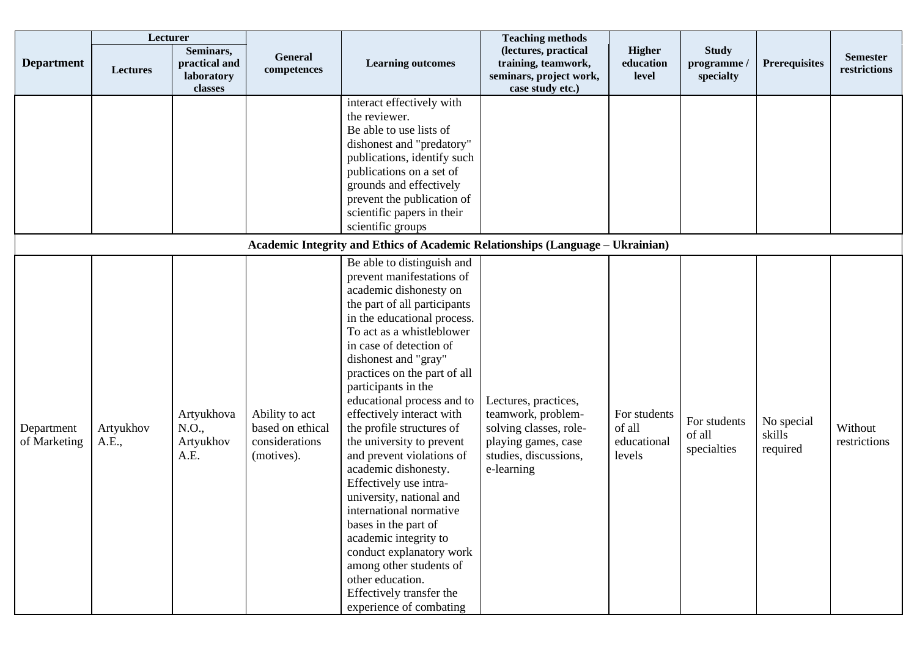|                            | Lecturer           |                                                     |                                                                    |                                                                                                                                                                                                                                                                                                                                                                                                                                                                                                                                                                                                                                                                                                                                       | <b>Teaching methods</b>                                                                                                            |                                                 |                                          |                                  |                                 |
|----------------------------|--------------------|-----------------------------------------------------|--------------------------------------------------------------------|---------------------------------------------------------------------------------------------------------------------------------------------------------------------------------------------------------------------------------------------------------------------------------------------------------------------------------------------------------------------------------------------------------------------------------------------------------------------------------------------------------------------------------------------------------------------------------------------------------------------------------------------------------------------------------------------------------------------------------------|------------------------------------------------------------------------------------------------------------------------------------|-------------------------------------------------|------------------------------------------|----------------------------------|---------------------------------|
| <b>Department</b>          | <b>Lectures</b>    | Seminars,<br>practical and<br>laboratory<br>classes | General<br>competences                                             | <b>Learning outcomes</b>                                                                                                                                                                                                                                                                                                                                                                                                                                                                                                                                                                                                                                                                                                              | (lectures, practical<br>training, teamwork,<br>seminars, project work,<br>case study etc.)                                         | <b>Higher</b><br>education<br>level             | <b>Study</b><br>programme /<br>specialty | <b>Prerequisites</b>             | <b>Semester</b><br>restrictions |
|                            |                    |                                                     |                                                                    | interact effectively with<br>the reviewer.<br>Be able to use lists of<br>dishonest and "predatory"<br>publications, identify such<br>publications on a set of<br>grounds and effectively<br>prevent the publication of<br>scientific papers in their<br>scientific groups                                                                                                                                                                                                                                                                                                                                                                                                                                                             |                                                                                                                                    |                                                 |                                          |                                  |                                 |
|                            |                    |                                                     |                                                                    | <b>Academic Integrity and Ethics of Academic Relationships (Language – Ukrainian)</b>                                                                                                                                                                                                                                                                                                                                                                                                                                                                                                                                                                                                                                                 |                                                                                                                                    |                                                 |                                          |                                  |                                 |
| Department<br>of Marketing | Artyukhov<br>A.E., | Artyukhova<br>N.O.,<br>Artyukhov<br>A.E.            | Ability to act<br>based on ethical<br>considerations<br>(motives). | Be able to distinguish and<br>prevent manifestations of<br>academic dishonesty on<br>the part of all participants<br>in the educational process.<br>To act as a whistleblower<br>in case of detection of<br>dishonest and "gray"<br>practices on the part of all<br>participants in the<br>educational process and to<br>effectively interact with<br>the profile structures of<br>the university to prevent<br>and prevent violations of<br>academic dishonesty.<br>Effectively use intra-<br>university, national and<br>international normative<br>bases in the part of<br>academic integrity to<br>conduct explanatory work<br>among other students of<br>other education.<br>Effectively transfer the<br>experience of combating | Lectures, practices,<br>teamwork, problem-<br>solving classes, role-<br>playing games, case<br>studies, discussions,<br>e-learning | For students<br>of all<br>educational<br>levels | For students<br>of all<br>specialties    | No special<br>skills<br>required | Without<br>restrictions         |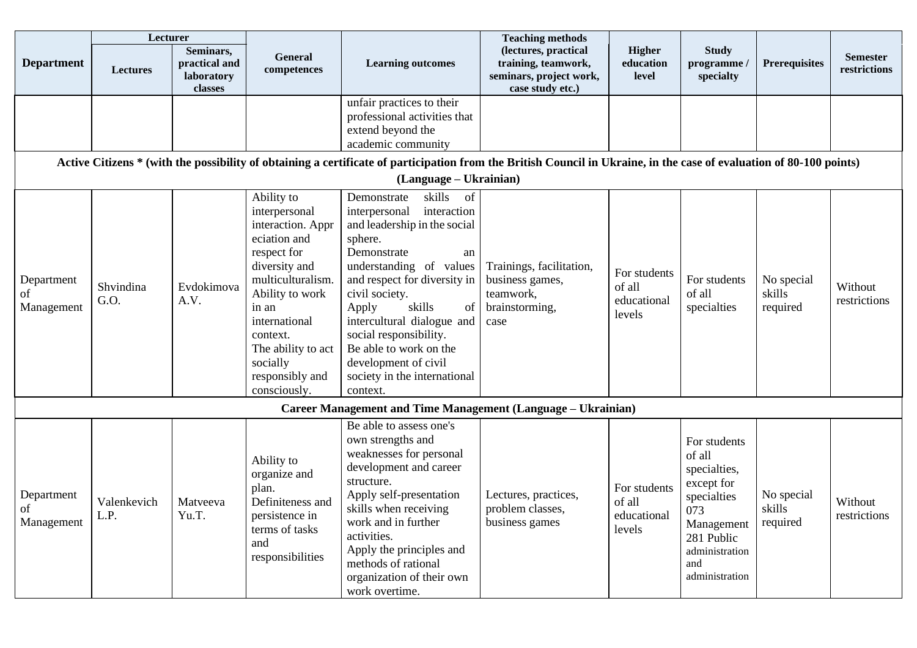|                                | Lecturer            |                                                     |                                                                                                                                                                                                                                                     |                                                                                                                                                                                                                                                                                                                                                                                         | <b>Teaching methods</b>                                                                    |                                                 |                                                                                                                                                   |                                  |                                 |
|--------------------------------|---------------------|-----------------------------------------------------|-----------------------------------------------------------------------------------------------------------------------------------------------------------------------------------------------------------------------------------------------------|-----------------------------------------------------------------------------------------------------------------------------------------------------------------------------------------------------------------------------------------------------------------------------------------------------------------------------------------------------------------------------------------|--------------------------------------------------------------------------------------------|-------------------------------------------------|---------------------------------------------------------------------------------------------------------------------------------------------------|----------------------------------|---------------------------------|
| <b>Department</b>              | <b>Lectures</b>     | Seminars,<br>practical and<br>laboratory<br>classes | <b>General</b><br>competences                                                                                                                                                                                                                       | <b>Learning outcomes</b>                                                                                                                                                                                                                                                                                                                                                                | (lectures, practical<br>training, teamwork,<br>seminars, project work,<br>case study etc.) | <b>Higher</b><br>education<br>level             | <b>Study</b><br>programme /<br>specialty                                                                                                          | <b>Prerequisites</b>             | <b>Semester</b><br>restrictions |
|                                |                     |                                                     |                                                                                                                                                                                                                                                     | unfair practices to their<br>professional activities that<br>extend beyond the<br>academic community                                                                                                                                                                                                                                                                                    |                                                                                            |                                                 |                                                                                                                                                   |                                  |                                 |
|                                |                     |                                                     |                                                                                                                                                                                                                                                     | Active Citizens * (with the possibility of obtaining a certificate of participation from the British Council in Ukraine, in the case of evaluation of 80-100 points)                                                                                                                                                                                                                    |                                                                                            |                                                 |                                                                                                                                                   |                                  |                                 |
|                                |                     |                                                     |                                                                                                                                                                                                                                                     | (Language – Ukrainian)                                                                                                                                                                                                                                                                                                                                                                  |                                                                                            |                                                 |                                                                                                                                                   |                                  |                                 |
| Department<br>of<br>Management | Shvindina<br>G.O.   | Evdokimova<br>A.V.                                  | Ability to<br>interpersonal<br>interaction. Appr<br>eciation and<br>respect for<br>diversity and<br>multiculturalism.<br>Ability to work<br>in an<br>international<br>context.<br>The ability to act<br>socially<br>responsibly and<br>consciously. | skills<br>Demonstrate<br>of<br>interpersonal<br>interaction<br>and leadership in the social<br>sphere.<br>Demonstrate<br>an<br>understanding of values<br>and respect for diversity in<br>civil society.<br>Apply<br>skills<br>of<br>intercultural dialogue and<br>social responsibility.<br>Be able to work on the<br>development of civil<br>society in the international<br>context. | Trainings, facilitation,<br>business games,<br>teamwork,<br>brainstorming,<br>case         | For students<br>of all<br>educational<br>levels | For students<br>of all<br>specialties                                                                                                             | No special<br>skills<br>required | Without<br>restrictions         |
|                                |                     |                                                     |                                                                                                                                                                                                                                                     | <b>Career Management and Time Management (Language – Ukrainian)</b>                                                                                                                                                                                                                                                                                                                     |                                                                                            |                                                 |                                                                                                                                                   |                                  |                                 |
| Department<br>of<br>Management | Valenkevich<br>L.P. | Matveeva<br>Yu.T.                                   | Ability to<br>organize and<br>plan.<br>Definiteness and<br>persistence in<br>terms of tasks<br>and<br>responsibilities                                                                                                                              | Be able to assess one's<br>own strengths and<br>weaknesses for personal<br>development and career<br>structure.<br>Apply self-presentation<br>skills when receiving<br>work and in further<br>activities.<br>Apply the principles and<br>methods of rational<br>organization of their own<br>work overtime.                                                                             | Lectures, practices,<br>problem classes,<br>business games                                 | For students<br>of all<br>educational<br>levels | For students<br>of all<br>specialties,<br>except for<br>specialties<br>073<br>Management<br>281 Public<br>administration<br>and<br>administration | No special<br>skills<br>required | Without<br>restrictions         |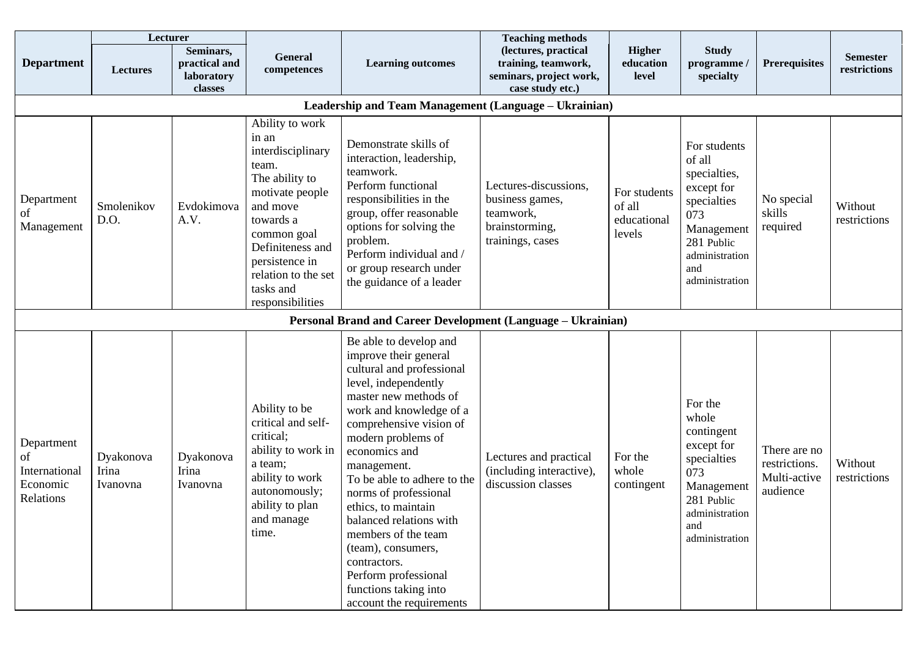|                                                            | Lecturer                                              |                                                     |                                                                                                                                                                                                                                   |                                                                                                                                                                                                                                                                                                                                                                                                                                                                                               | <b>Teaching methods</b>                                                                     |                                                 |                                                                                                                                                   |                                                           |                                 |  |  |
|------------------------------------------------------------|-------------------------------------------------------|-----------------------------------------------------|-----------------------------------------------------------------------------------------------------------------------------------------------------------------------------------------------------------------------------------|-----------------------------------------------------------------------------------------------------------------------------------------------------------------------------------------------------------------------------------------------------------------------------------------------------------------------------------------------------------------------------------------------------------------------------------------------------------------------------------------------|---------------------------------------------------------------------------------------------|-------------------------------------------------|---------------------------------------------------------------------------------------------------------------------------------------------------|-----------------------------------------------------------|---------------------------------|--|--|
| <b>Department</b>                                          | <b>Lectures</b>                                       | Seminars,<br>practical and<br>laboratory<br>classes | <b>General</b><br>competences                                                                                                                                                                                                     | <b>Learning outcomes</b>                                                                                                                                                                                                                                                                                                                                                                                                                                                                      | (lectures, practical<br>training, teamwork,<br>seminars, project work,<br>case study etc.)  | <b>Higher</b><br>education<br>level             | <b>Study</b><br>programme /<br>specialty                                                                                                          | <b>Prerequisites</b>                                      | <b>Semester</b><br>restrictions |  |  |
|                                                            | Leadership and Team Management (Language - Ukrainian) |                                                     |                                                                                                                                                                                                                                   |                                                                                                                                                                                                                                                                                                                                                                                                                                                                                               |                                                                                             |                                                 |                                                                                                                                                   |                                                           |                                 |  |  |
| Department<br>of<br>Management                             | Smolenikov<br>D.O.                                    | Evdokimova<br>A.V.                                  | Ability to work<br>in an<br>interdisciplinary<br>team.<br>The ability to<br>motivate people<br>and move<br>towards a<br>common goal<br>Definiteness and<br>persistence in<br>relation to the set<br>tasks and<br>responsibilities | Demonstrate skills of<br>interaction, leadership,<br>teamwork.<br>Perform functional<br>responsibilities in the<br>group, offer reasonable<br>options for solving the<br>problem.<br>Perform individual and /<br>or group research under<br>the guidance of a leader                                                                                                                                                                                                                          | Lectures-discussions,<br>business games,<br>teamwork,<br>brainstorming,<br>trainings, cases | For students<br>of all<br>educational<br>levels | For students<br>of all<br>specialties,<br>except for<br>specialties<br>073<br>Management<br>281 Public<br>administration<br>and<br>administration | No special<br>skills<br>required                          | Without<br>restrictions         |  |  |
|                                                            |                                                       |                                                     |                                                                                                                                                                                                                                   | Personal Brand and Career Development (Language - Ukrainian)                                                                                                                                                                                                                                                                                                                                                                                                                                  |                                                                                             |                                                 |                                                                                                                                                   |                                                           |                                 |  |  |
| Department<br>of<br>International<br>Economic<br>Relations | Dyakonova<br>Irina<br>Ivanovna                        | Dyakonova<br>Irina<br>Ivanovna                      | Ability to be<br>critical and self-<br>critical;<br>ability to work in<br>a team;<br>ability to work<br>autonomously;<br>ability to plan<br>and manage<br>time.                                                                   | Be able to develop and<br>improve their general<br>cultural and professional<br>level, independently<br>master new methods of<br>work and knowledge of a<br>comprehensive vision of<br>modern problems of<br>economics and<br>management.<br>To be able to adhere to the<br>norms of professional<br>ethics, to maintain<br>balanced relations with<br>members of the team<br>(team), consumers,<br>contractors.<br>Perform professional<br>functions taking into<br>account the requirements | Lectures and practical<br>(including interactive),<br>discussion classes                    | For the<br>whole<br>contingent                  | For the<br>whole<br>contingent<br>except for<br>specialties<br>073<br>Management<br>281 Public<br>administration<br>and<br>administration         | There are no<br>restrictions.<br>Multi-active<br>audience | Without<br>restrictions         |  |  |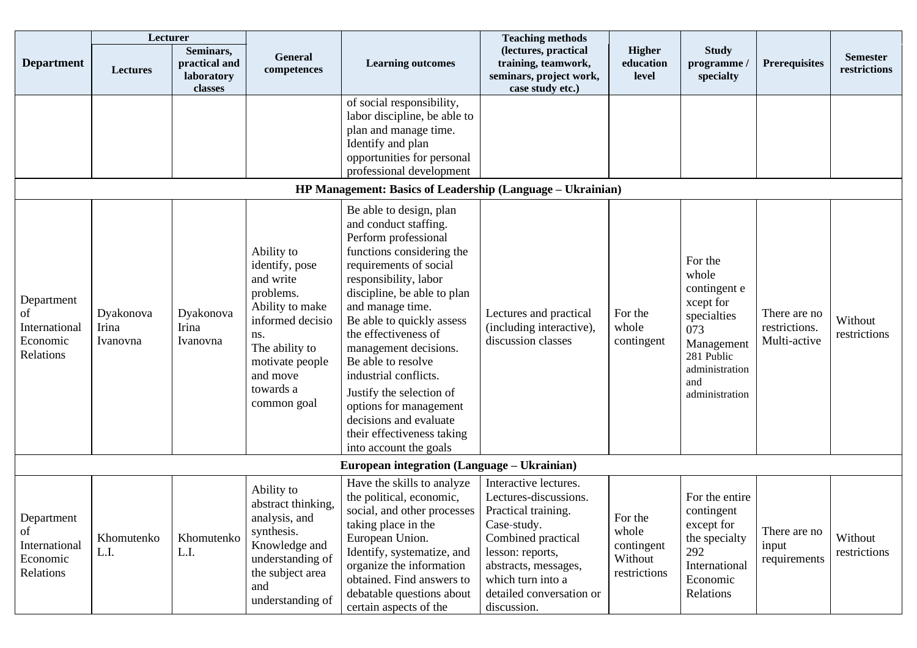|                                                            | Lecturer                       |                                                     |                                                                                                                                                                                   |                                                                                                                                                                                                                                                                                                                                                                                                                                                                                  | <b>Teaching methods</b>                                                                                                                                                                                                |                                                           |                                                                                                                                            |                                               |                                 |
|------------------------------------------------------------|--------------------------------|-----------------------------------------------------|-----------------------------------------------------------------------------------------------------------------------------------------------------------------------------------|----------------------------------------------------------------------------------------------------------------------------------------------------------------------------------------------------------------------------------------------------------------------------------------------------------------------------------------------------------------------------------------------------------------------------------------------------------------------------------|------------------------------------------------------------------------------------------------------------------------------------------------------------------------------------------------------------------------|-----------------------------------------------------------|--------------------------------------------------------------------------------------------------------------------------------------------|-----------------------------------------------|---------------------------------|
| <b>Department</b>                                          | <b>Lectures</b>                | Seminars,<br>practical and<br>laboratory<br>classes | <b>General</b><br>competences                                                                                                                                                     | <b>Learning outcomes</b>                                                                                                                                                                                                                                                                                                                                                                                                                                                         | (lectures, practical<br>training, teamwork,<br>seminars, project work,<br>case study etc.)                                                                                                                             | <b>Higher</b><br>education<br>level                       | <b>Study</b><br>programme /<br>specialty                                                                                                   | <b>Prerequisites</b>                          | <b>Semester</b><br>restrictions |
|                                                            |                                |                                                     |                                                                                                                                                                                   | of social responsibility,<br>labor discipline, be able to<br>plan and manage time.<br>Identify and plan<br>opportunities for personal<br>professional development<br>HP Management: Basics of Leadership (Language - Ukrainian)                                                                                                                                                                                                                                                  |                                                                                                                                                                                                                        |                                                           |                                                                                                                                            |                                               |                                 |
| Department<br>of<br>International<br>Economic<br>Relations | Dyakonova<br>Irina<br>Ivanovna | Dyakonova<br>Irina<br>Ivanovna                      | Ability to<br>identify, pose<br>and write<br>problems.<br>Ability to make<br>informed decisio<br>ns.<br>The ability to<br>motivate people<br>and move<br>towards a<br>common goal | Be able to design, plan<br>and conduct staffing.<br>Perform professional<br>functions considering the<br>requirements of social<br>responsibility, labor<br>discipline, be able to plan<br>and manage time.<br>Be able to quickly assess<br>the effectiveness of<br>management decisions.<br>Be able to resolve<br>industrial conflicts.<br>Justify the selection of<br>options for management<br>decisions and evaluate<br>their effectiveness taking<br>into account the goals | Lectures and practical<br>(including interactive),<br>discussion classes                                                                                                                                               | For the<br>whole<br>contingent                            | For the<br>whole<br>contingent e<br>xcept for<br>specialties<br>073<br>Management<br>281 Public<br>administration<br>and<br>administration | There are no<br>restrictions.<br>Multi-active | Without<br>restrictions         |
|                                                            |                                |                                                     |                                                                                                                                                                                   | European integration (Language – Ukrainian)                                                                                                                                                                                                                                                                                                                                                                                                                                      |                                                                                                                                                                                                                        |                                                           |                                                                                                                                            |                                               |                                 |
| Department<br>of<br>International<br>Economic<br>Relations | Khomutenko<br>L.I.             | Khomutenko<br>L.I.                                  | Ability to<br>abstract thinking,<br>analysis, and<br>synthesis.<br>Knowledge and<br>understanding of<br>the subject area<br>and<br>understanding of                               | Have the skills to analyze<br>the political, economic,<br>social, and other processes<br>taking place in the<br>European Union.<br>Identify, systematize, and<br>organize the information<br>obtained. Find answers to<br>debatable questions about<br>certain aspects of the                                                                                                                                                                                                    | Interactive lectures.<br>Lectures-discussions.<br>Practical training.<br>Case-study.<br>Combined practical<br>lesson: reports,<br>abstracts, messages,<br>which turn into a<br>detailed conversation or<br>discussion. | For the<br>whole<br>contingent<br>Without<br>restrictions | For the entire<br>contingent<br>except for<br>the specialty<br>292<br>International<br>Economic<br>Relations                               | There are no<br>input<br>requirements         | Without<br>restrictions         |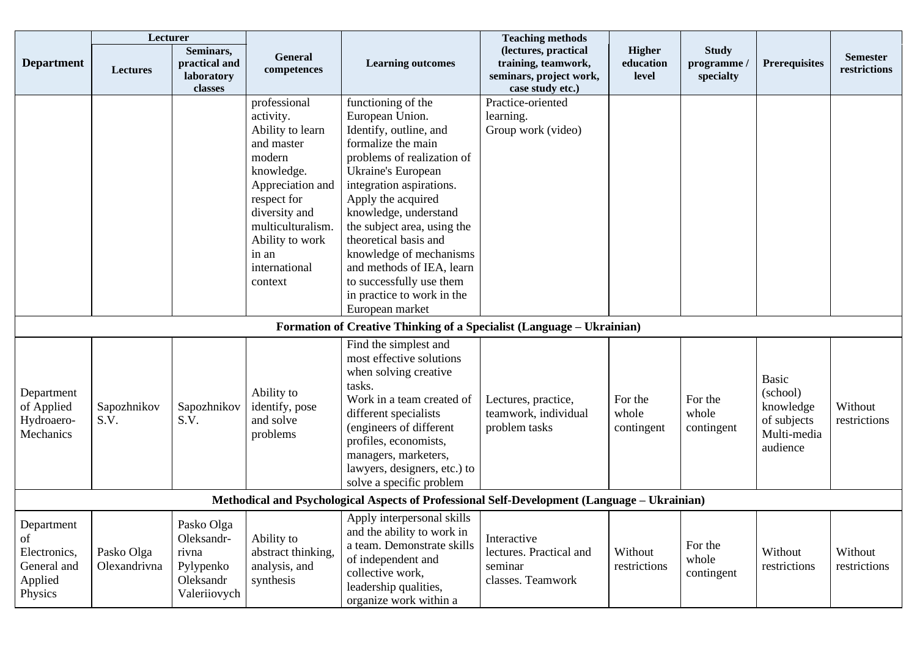|                                                                       | Lecturer                                                                                     |                                                                             |                                                                                                                                                                                                                      |                                                                                                                                                                                                                                                                                                                                                                                                                   | <b>Teaching methods</b>                                                                    |                                     |                                          |                                                                          |                                 |  |  |
|-----------------------------------------------------------------------|----------------------------------------------------------------------------------------------|-----------------------------------------------------------------------------|----------------------------------------------------------------------------------------------------------------------------------------------------------------------------------------------------------------------|-------------------------------------------------------------------------------------------------------------------------------------------------------------------------------------------------------------------------------------------------------------------------------------------------------------------------------------------------------------------------------------------------------------------|--------------------------------------------------------------------------------------------|-------------------------------------|------------------------------------------|--------------------------------------------------------------------------|---------------------------------|--|--|
| <b>Department</b>                                                     | <b>Lectures</b>                                                                              | Seminars,<br>practical and<br>laboratory<br>classes                         | General<br>competences                                                                                                                                                                                               | <b>Learning outcomes</b>                                                                                                                                                                                                                                                                                                                                                                                          | (lectures, practical<br>training, teamwork,<br>seminars, project work,<br>case study etc.) | <b>Higher</b><br>education<br>level | <b>Study</b><br>programme /<br>specialty | <b>Prerequisites</b>                                                     | <b>Semester</b><br>restrictions |  |  |
|                                                                       |                                                                                              |                                                                             | professional<br>activity.<br>Ability to learn<br>and master<br>modern<br>knowledge.<br>Appreciation and<br>respect for<br>diversity and<br>multiculturalism.<br>Ability to work<br>in an<br>international<br>context | functioning of the<br>European Union.<br>Identify, outline, and<br>formalize the main<br>problems of realization of<br>Ukraine's European<br>integration aspirations.<br>Apply the acquired<br>knowledge, understand<br>the subject area, using the<br>theoretical basis and<br>knowledge of mechanisms<br>and methods of IEA, learn<br>to successfully use them<br>in practice to work in the<br>European market | Practice-oriented<br>learning.<br>Group work (video)                                       |                                     |                                          |                                                                          |                                 |  |  |
|                                                                       |                                                                                              |                                                                             |                                                                                                                                                                                                                      | Formation of Creative Thinking of a Specialist (Language – Ukrainian)                                                                                                                                                                                                                                                                                                                                             |                                                                                            |                                     |                                          |                                                                          |                                 |  |  |
| Department<br>of Applied<br>Hydroaero-<br>Mechanics                   | Sapozhnikov<br>S.V.                                                                          | Sapozhnikov<br>S.V.                                                         | Ability to<br>identify, pose<br>and solve<br>problems                                                                                                                                                                | Find the simplest and<br>most effective solutions<br>when solving creative<br>tasks.<br>Work in a team created of<br>different specialists<br>(engineers of different<br>profiles, economists,<br>managers, marketers,<br>lawyers, designers, etc.) to<br>solve a specific problem                                                                                                                                | Lectures, practice,<br>teamwork, individual<br>problem tasks                               | For the<br>whole<br>contingent      | For the<br>whole<br>contingent           | Basic<br>(school)<br>knowledge<br>of subjects<br>Multi-media<br>audience | Without<br>restrictions         |  |  |
|                                                                       | Methodical and Psychological Aspects of Professional Self-Development (Language – Ukrainian) |                                                                             |                                                                                                                                                                                                                      |                                                                                                                                                                                                                                                                                                                                                                                                                   |                                                                                            |                                     |                                          |                                                                          |                                 |  |  |
| Department<br>of<br>Electronics,<br>General and<br>Applied<br>Physics | Pasko Olga<br>Olexandrivna                                                                   | Pasko Olga<br>Oleksandr-<br>rivna<br>Pylypenko<br>Oleksandr<br>Valeriiovych | Ability to<br>abstract thinking,<br>analysis, and<br>synthesis                                                                                                                                                       | Apply interpersonal skills<br>and the ability to work in<br>a team. Demonstrate skills<br>of independent and<br>collective work,<br>leadership qualities,<br>organize work within a                                                                                                                                                                                                                               | Interactive<br>lectures. Practical and<br>seminar<br>classes. Teamwork                     | Without<br>restrictions             | For the<br>whole<br>contingent           | Without<br>restrictions                                                  | Without<br>restrictions         |  |  |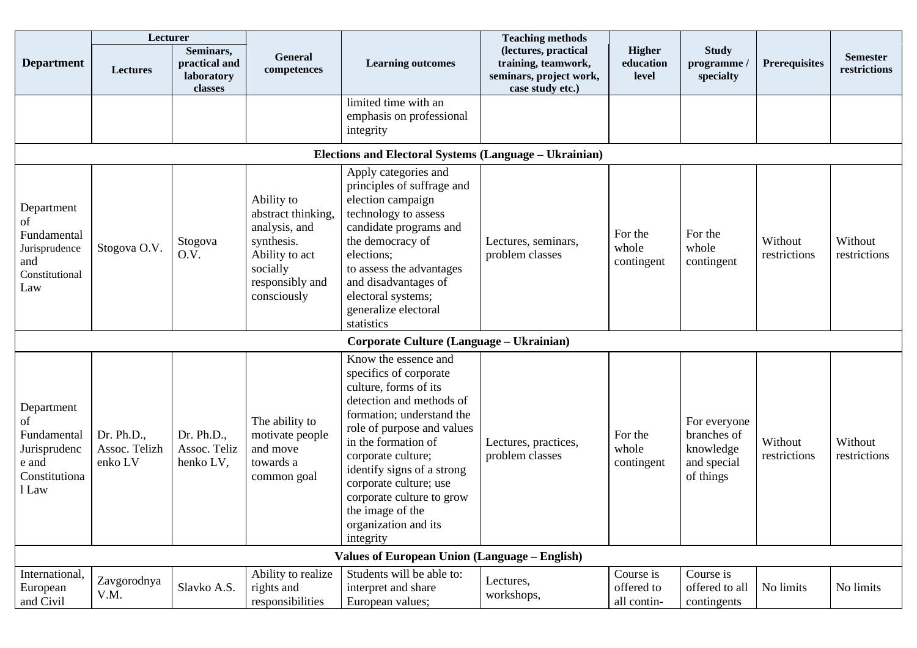|                                                                                    | Lecturer                               |                                                     |                                                                                                                                 |                                                                                                                                                                                                                                                                                                                                                           | <b>Teaching methods</b>                                                                    |                                        |                                                                      |                         |                                 |  |
|------------------------------------------------------------------------------------|----------------------------------------|-----------------------------------------------------|---------------------------------------------------------------------------------------------------------------------------------|-----------------------------------------------------------------------------------------------------------------------------------------------------------------------------------------------------------------------------------------------------------------------------------------------------------------------------------------------------------|--------------------------------------------------------------------------------------------|----------------------------------------|----------------------------------------------------------------------|-------------------------|---------------------------------|--|
| <b>Department</b>                                                                  | <b>Lectures</b>                        | Seminars,<br>practical and<br>laboratory<br>classes | <b>General</b><br>competences                                                                                                   | <b>Learning outcomes</b>                                                                                                                                                                                                                                                                                                                                  | (lectures, practical<br>training, teamwork,<br>seminars, project work,<br>case study etc.) | <b>Higher</b><br>education<br>level    | <b>Study</b><br>programme /<br>specialty                             | <b>Prerequisites</b>    | <b>Semester</b><br>restrictions |  |
|                                                                                    |                                        |                                                     |                                                                                                                                 | limited time with an<br>emphasis on professional<br>integrity                                                                                                                                                                                                                                                                                             |                                                                                            |                                        |                                                                      |                         |                                 |  |
| Elections and Electoral Systems (Language - Ukrainian)                             |                                        |                                                     |                                                                                                                                 |                                                                                                                                                                                                                                                                                                                                                           |                                                                                            |                                        |                                                                      |                         |                                 |  |
| Department<br>of<br>Fundamental<br>Jurisprudence<br>and<br>Constitutional<br>Law   | Stogova O.V.                           | Stogova<br>O.V.                                     | Ability to<br>abstract thinking,<br>analysis, and<br>synthesis.<br>Ability to act<br>socially<br>responsibly and<br>consciously | Apply categories and<br>principles of suffrage and<br>election campaign<br>technology to assess<br>candidate programs and<br>the democracy of<br>elections;<br>to assess the advantages<br>and disadvantages of<br>electoral systems;<br>generalize electoral<br>statistics                                                                               | Lectures, seminars,<br>problem classes                                                     | For the<br>whole<br>contingent         | For the<br>whole<br>contingent                                       | Without<br>restrictions | Without<br>restrictions         |  |
|                                                                                    |                                        |                                                     |                                                                                                                                 | Corporate Culture (Language - Ukrainian)                                                                                                                                                                                                                                                                                                                  |                                                                                            |                                        |                                                                      |                         |                                 |  |
| Department<br>of<br>Fundamental<br>Jurisprudenc<br>e and<br>Constitutiona<br>1 Law | Dr. Ph.D.,<br>Assoc. Telizh<br>enko LV | Dr. Ph.D.,<br>Assoc. Teliz<br>henko LV,             | The ability to<br>motivate people<br>and move<br>towards a<br>common goal                                                       | Know the essence and<br>specifics of corporate<br>culture, forms of its<br>detection and methods of<br>formation; understand the<br>role of purpose and values<br>in the formation of<br>corporate culture;<br>identify signs of a strong<br>corporate culture; use<br>corporate culture to grow<br>the image of the<br>organization and its<br>integrity | Lectures, practices,<br>problem classes                                                    | For the<br>whole<br>contingent         | For everyone<br>branches of<br>knowledge<br>and special<br>of things | Without<br>restrictions | Without<br>restrictions         |  |
|                                                                                    |                                        |                                                     |                                                                                                                                 | <b>Values of European Union (Language – English)</b>                                                                                                                                                                                                                                                                                                      |                                                                                            |                                        |                                                                      |                         |                                 |  |
| International,<br>European<br>and Civil                                            | Zavgorodnya<br>V.M.                    | Slavko A.S.                                         | Ability to realize<br>rights and<br>responsibilities                                                                            | Students will be able to:<br>interpret and share<br>European values;                                                                                                                                                                                                                                                                                      | Lectures,<br>workshops,                                                                    | Course is<br>offered to<br>all contin- | Course is<br>offered to all<br>contingents                           | No limits               | No limits                       |  |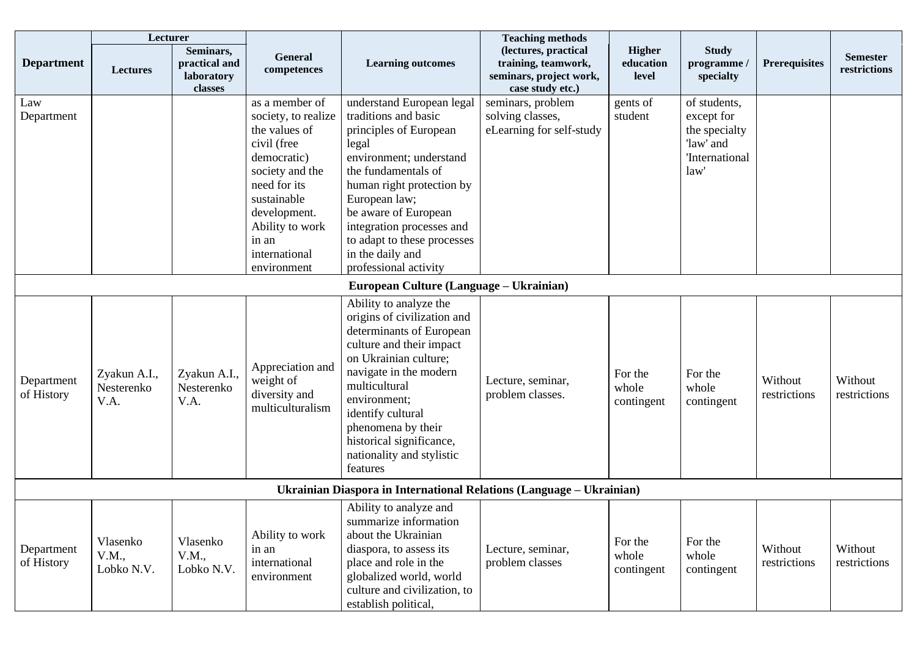|                                         | Lecturer                           |                                                     |                                                                                                                                                                                                                    |                                                                                                                                                                                                                                                                                                                       | <b>Teaching methods</b>                                                                    |                                     |                                                                                    |                         |                                 |
|-----------------------------------------|------------------------------------|-----------------------------------------------------|--------------------------------------------------------------------------------------------------------------------------------------------------------------------------------------------------------------------|-----------------------------------------------------------------------------------------------------------------------------------------------------------------------------------------------------------------------------------------------------------------------------------------------------------------------|--------------------------------------------------------------------------------------------|-------------------------------------|------------------------------------------------------------------------------------|-------------------------|---------------------------------|
| <b>Department</b>                       | Lectures                           | Seminars,<br>practical and<br>laboratory<br>classes | General<br>competences                                                                                                                                                                                             | <b>Learning outcomes</b>                                                                                                                                                                                                                                                                                              | (lectures, practical<br>training, teamwork,<br>seminars, project work,<br>case study etc.) | <b>Higher</b><br>education<br>level | <b>Study</b><br>programme /<br>specialty                                           | <b>Prerequisites</b>    | <b>Semester</b><br>restrictions |
| Law<br>Department                       |                                    |                                                     | as a member of<br>society, to realize<br>the values of<br>civil (free<br>democratic)<br>society and the<br>need for its<br>sustainable<br>development.<br>Ability to work<br>in an<br>international<br>environment | understand European legal<br>traditions and basic<br>principles of European<br>legal<br>environment; understand<br>the fundamentals of<br>human right protection by<br>European law;<br>be aware of European<br>integration processes and<br>to adapt to these processes<br>in the daily and<br>professional activity | seminars, problem<br>solving classes,<br>eLearning for self-study                          | gents of<br>student                 | of students,<br>except for<br>the specialty<br>'law' and<br>'International<br>law' |                         |                                 |
| European Culture (Language – Ukrainian) |                                    |                                                     |                                                                                                                                                                                                                    |                                                                                                                                                                                                                                                                                                                       |                                                                                            |                                     |                                                                                    |                         |                                 |
| Department<br>of History                | Zyakun A.I.,<br>Nesterenko<br>V.A. | Zyakun A.I.,<br>Nesterenko<br>V.A.                  | Appreciation and<br>weight of<br>diversity and<br>multiculturalism                                                                                                                                                 | Ability to analyze the<br>origins of civilization and<br>determinants of European<br>culture and their impact<br>on Ukrainian culture;<br>navigate in the modern<br>multicultural<br>environment;<br>identify cultural<br>phenomena by their<br>historical significance,<br>nationality and stylistic<br>features     | Lecture, seminar,<br>problem classes.                                                      | For the<br>whole<br>contingent      | For the<br>whole<br>contingent                                                     | Without<br>restrictions | Without<br>restrictions         |
|                                         |                                    |                                                     |                                                                                                                                                                                                                    | Ukrainian Diaspora in International Relations (Language – Ukrainian)                                                                                                                                                                                                                                                  |                                                                                            |                                     |                                                                                    |                         |                                 |
| Department<br>of History                | Vlasenko<br>V.M.,<br>Lobko N.V.    | Vlasenko<br>V.M.,<br>Lobko N.V.                     | Ability to work<br>in an<br>international<br>environment                                                                                                                                                           | Ability to analyze and<br>summarize information<br>about the Ukrainian<br>diaspora, to assess its<br>place and role in the<br>globalized world, world<br>culture and civilization, to<br>establish political,                                                                                                         | Lecture, seminar,<br>problem classes                                                       | For the<br>whole<br>contingent      | For the<br>whole<br>contingent                                                     | Without<br>restrictions | Without<br>restrictions         |